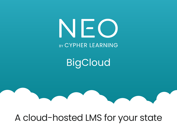# NEO **BY CYPHER LEARNING**

**BigCloud** 

# A cloud-hosted LMS for your state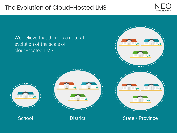#### The Evolution of Cloud-Hosted LMS



We believe that there is a natural evolution of the scale of cloud-hosted LMS:











School District District State / Province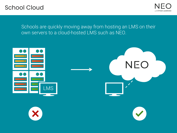#### School Cloud



Schools are quickly moving away from hosting an LMS on their own servers to a cloud-hosted LMS such as NEO.

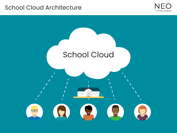#### School Cloud Architecture



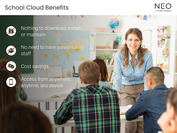#### School Cloud Benefits



Nothing to download, install, or maintain



No need to have server-savvy staff



Cost savings



Access from anywhere, anytime, any device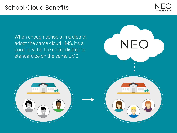#### School Cloud Benefits

**EAS** 



NEO

**COL** 

55

 $\overline{\mathcal{M}}$ 

When enough schools in a district adopt the same cloud LMS, it's a good idea for the entire district to standardize on the same LMS.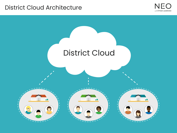#### District Cloud Architecture



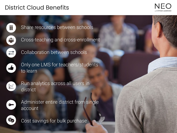## District Cloud Benefits





Share resources between schools



Collaboration between schools



Only one LMS for teachers/students to learn



Run analytics across all users in district



Administer entire district from single account



Cost savings for bulk purchase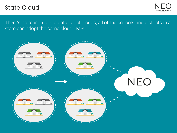#### State Cloud



There's no reason to stop at district clouds; all of the schools and districts in a state can adopt the same cloud LMS!

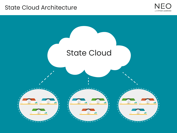#### State Cloud Architecture



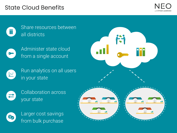#### State Cloud Benefits





Share resources between all districts



Administer state cloud from a single account



Run analytics on all users in your state



Collaboration across your state



Larger cost savings from bulk purchase

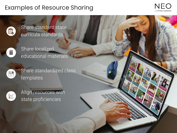## Examples of Resource Sharing





Share standard state curricula standards



Share localized educational materials



Share standardized class templates



Align resources with state proficiencies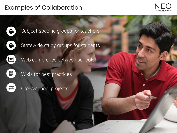## Examples of Collaboration





Subject-specific groups for teachers



Statewide study groups for students



Web conference between schools

昌

Wikis for best practices

Cross-school projects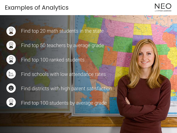# Examples of Analytics



**TTED**:



Find top 20 math students in the state



Find top 50 teachers by average grade



Find top 100 ranked students



Find schools with low attendance rates



Find districts with high parent satisfaction



Find top 100 students by average grade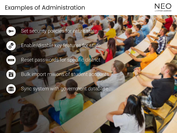#### Examples of Administration





Set security policies for entire state



 $\ast\ast\ast$ 

Enable/disable key features for state

Reset passwords for specific district



Bulk import millions of student accounts



Sync system with government database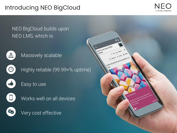# Introducing NEO BigCloud



 $\overline{a}$ 

de Analyss

and sections can be completed in a

& Alex & Deta

How to use your DSLR

Lessons

NEO BigCloud builds upon NEO LMS, which is:



Massively scalable



Highly reliable (99.99+% uptime)



Easy to use



Works well on all devices



Very cost effective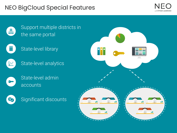# NEO BigCloud Special Features





Support multiple districts in the same portal

T







State-level admin accounts



Significant discounts